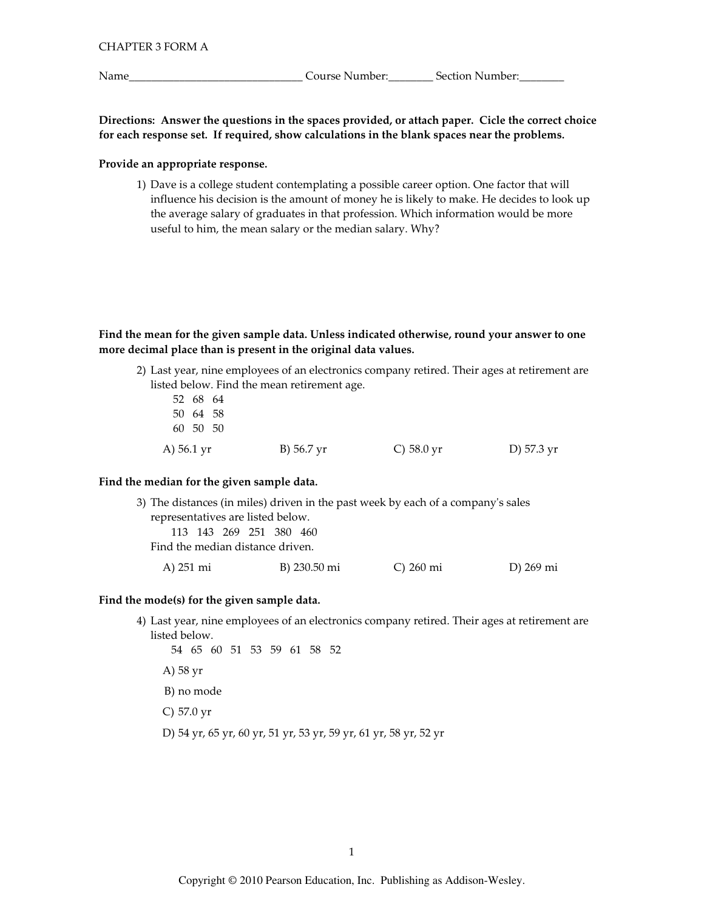Name\_

Directions: Answer the questions in the spaces provided, or attach paper. Cicle the correct choice for each response set. If required, show calculations in the blank spaces near the problems.

## Provide an appropriate response.

1) Dave is a college student contemplating a possible career option. One factor that will influence his decision is the amount of money he is likely to make. He decides to look up the average salary of graduates in that profession. Which information would be more useful to him, the mean salary or the median salary. Why?

Find the mean for the given sample data. Unless indicated otherwise, round your answer to one more decimal place than is present in the original data values.

2) Last year, nine employees of an electronics company retired. Their ages at retirement are listed below. Find the mean retirement age.

| A) 56.1 yr | B) 56.7 yr | C) $58.0 \,\text{yr}$ | D) 57.3 yr |
|------------|------------|-----------------------|------------|
| 60 50 50   |            |                       |            |
| 50 64 58   |            |                       |            |
| 52 68 64   |            |                       |            |

## Find the median for the given sample data.

| 3) The distances (in miles) driven in the past week by each of a company's sales |              |           |           |  |  |
|----------------------------------------------------------------------------------|--------------|-----------|-----------|--|--|
| representatives are listed below.                                                |              |           |           |  |  |
| 113 143 269 251 380 460                                                          |              |           |           |  |  |
| Find the median distance driven.                                                 |              |           |           |  |  |
| A) 251 mi                                                                        | B) 230.50 mi | C) 260 mi | D) 269 mi |  |  |

## Find the mode(s) for the given sample data.

4) Last year, nine employees of an electronics company retired. Their ages at retirement are listed below.

54 65 60 51 53 59 61 58 52 A) 58 yr B) no mode  $C$ ) 57.0 yr D) 54 yr, 65 yr, 60 yr, 51 yr, 53 yr, 59 yr, 61 yr, 58 yr, 52 yr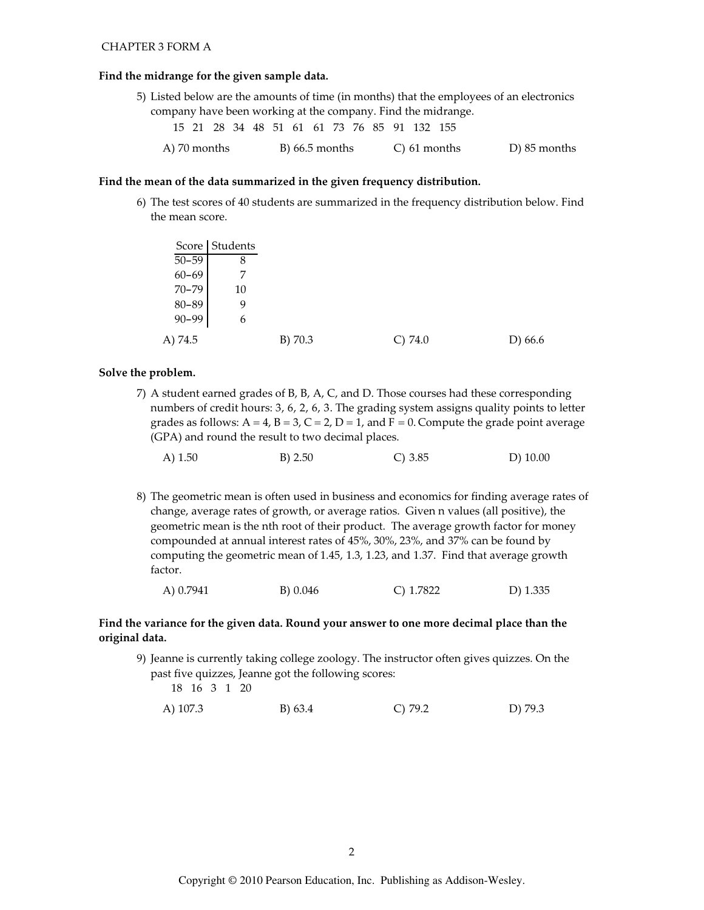### **CHAPTER 3 FORM A**

### Find the midrange for the given sample data.

|  |  |  |  |  |  |                                             | 5) Listed below are the amounts of time (in months) that the employees of an electronics |
|--|--|--|--|--|--|---------------------------------------------|------------------------------------------------------------------------------------------|
|  |  |  |  |  |  |                                             | company have been working at the company. Find the midrange.                             |
|  |  |  |  |  |  | 15 21 28 34 48 51 61 61 73 76 85 91 132 155 |                                                                                          |

A) 70 months  $B)$  66.5 months  $C$ ) 61 months D) 85 months

### Find the mean of the data summarized in the given frequency distribution.

6) The test scores of 40 students are summarized in the frequency distribution below. Find the mean score.

|           | Score   Students |         |         |         |
|-----------|------------------|---------|---------|---------|
| $50 - 59$ | 8                |         |         |         |
| $60 - 69$ |                  |         |         |         |
| $70 - 79$ | 10               |         |         |         |
| 80-89     | 9                |         |         |         |
| $90 - 99$ | 6                |         |         |         |
| A) 74.5   |                  | B) 70.3 | C) 74.0 | D) 66.6 |

## Solve the problem.

7) A student earned grades of B, B, A, C, and D. Those courses had these corresponding numbers of credit hours: 3, 6, 2, 6, 3. The grading system assigns quality points to letter grades as follows:  $A = 4$ ,  $B = 3$ ,  $C = 2$ ,  $D = 1$ , and  $F = 0$ . Compute the grade point average (GPA) and round the result to two decimal places.

|  | A) $1.50$ | B) 2.50 | C) 3.85 | $D)$ 10.00 |
|--|-----------|---------|---------|------------|
|--|-----------|---------|---------|------------|

8) The geometric mean is often used in business and economics for finding average rates of change, average rates of growth, or average ratios. Given n values (all positive), the geometric mean is the nth root of their product. The average growth factor for money compounded at annual interest rates of 45%, 30%, 23%, and 37% can be found by computing the geometric mean of 1.45, 1.3, 1.23, and 1.37. Find that average growth factor.

| C) $1.7822$<br>A) 0.7941<br>B) 0.046 | $D)$ 1.335 |
|--------------------------------------|------------|
|--------------------------------------|------------|

## Find the variance for the given data. Round your answer to one more decimal place than the original data.

9) Jeanne is currently taking college zoology. The instructor often gives quizzes. On the past five quizzes, Jeanne got the following scores:

18 16 3 1 20

 $C)$  79.2 A) 107.3  $B) 63.4$ D 79.3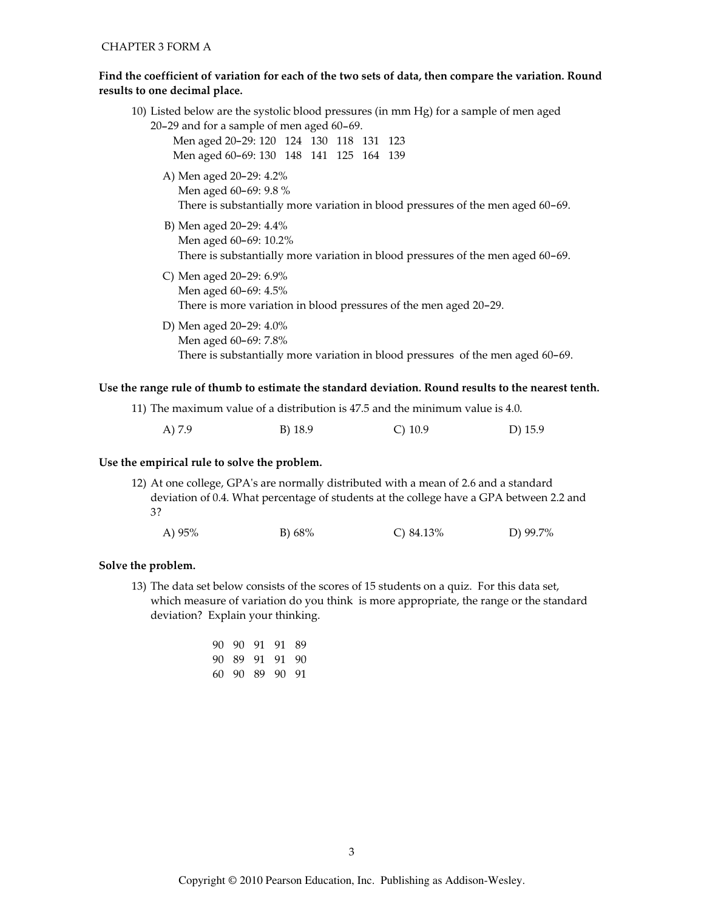# Find the coefficient of variation for each of the two sets of data, then compare the variation. Round results to one decimal place.

|                                           |  |  | 10) Listed below are the systolic blood pressures (in mm Hg) for a sample of men aged |
|-------------------------------------------|--|--|---------------------------------------------------------------------------------------|
| 20-29 and for a sample of men aged 60-69. |  |  |                                                                                       |
| Men aged 20-29: 120 124 130 118 131 123   |  |  |                                                                                       |
| Men aged 60-69: 130 148 141 125 164 139   |  |  |                                                                                       |
| A) Men aged 20–29: 4.2%                   |  |  |                                                                                       |
| Men aged 60-69: 9.8 %                     |  |  |                                                                                       |
|                                           |  |  | There is substantially more variation in blood pressures of the men aged 60–69.       |
| B) Men aged 20–29: 4.4%                   |  |  |                                                                                       |
| Men aged 60-69: 10.2%                     |  |  |                                                                                       |
|                                           |  |  | There is substantially more variation in blood pressures of the men aged 60-69.       |
| C) Men aged $20-29:6.9\%$                 |  |  |                                                                                       |
| Men aged 60-69: 4.5%                      |  |  |                                                                                       |
|                                           |  |  | There is more variation in blood pressures of the men aged 20-29.                     |
| D) Men aged 20–29: 4.0%                   |  |  |                                                                                       |
| Men aged 60-69: 7.8%                      |  |  |                                                                                       |
|                                           |  |  | There is substantially more variation in blood pressures of the men aged 60-69.       |
|                                           |  |  |                                                                                       |

## Use the range rule of thumb to estimate the standard deviation. Round results to the nearest tenth.

| 11) The maximum value of a distribution is 47.5 and the minimum value is 4.0. |         |           |           |
|-------------------------------------------------------------------------------|---------|-----------|-----------|
| A) 7.9                                                                        | B) 18.9 | C) $10.9$ | D) $15.9$ |

# Use the empirical rule to solve the problem.

12) At one college, GPA's are normally distributed with a mean of 2.6 and a standard deviation of 0.4. What percentage of students at the college have a GPA between 2.2 and 3?

| A) $95%$ | B) $68\%$ | C) $84.13\%$ | D) 99.7% |
|----------|-----------|--------------|----------|
|----------|-----------|--------------|----------|

## Solve the problem.

13) The data set below consists of the scores of 15 students on a quiz. For this data set, which measure of variation do you think is more appropriate, the range or the standard deviation? Explain your thinking.

|  | 90 90 91 91 89 |  |
|--|----------------|--|
|  | 90 89 91 91 90 |  |
|  | 60 90 89 90 91 |  |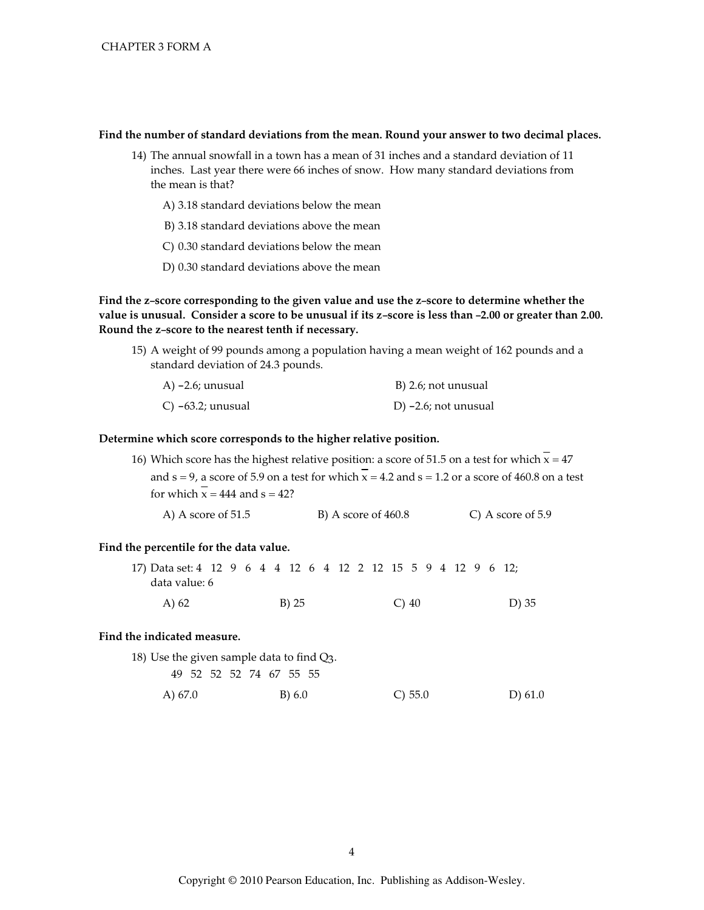### Find the number of standard deviations from the mean. Round your answer to two decimal places.

- 14) The annual snowfall in a town has a mean of 31 inches and a standard deviation of 11 inches. Last year there were 66 inches of snow. How many standard deviations from the mean is that?
	- A) 3.18 standard deviations below the mean
	- B) 3.18 standard deviations above the mean
	- C) 0.30 standard deviations below the mean
	- D) 0.30 standard deviations above the mean

Find the z-score corresponding to the given value and use the z-score to determine whether the value is unusual. Consider a score to be unusual if its z-score is less than -2.00 or greater than 2.00. Round the z-score to the nearest tenth if necessary.

15) A weight of 99 pounds among a population having a mean weight of 162 pounds and a standard deviation of 24.3 pounds.

| A) -2.6; unusual        | B) 2.6; not unusual     |
|-------------------------|-------------------------|
| $C$ ) $-63.2$ ; unusual | D) $-2.6$ ; not unusual |

### Determine which score corresponds to the higher relative position.

16) Which score has the highest relative position: a score of 51.5 on a test for which  $\overline{x} = 47$ and  $s = 9$ , a score of 5.9 on a test for which  $x = 4.2$  and  $s = 1.2$  or a score of 460.8 on a test for which  $\overline{x}$  = 444 and s = 42?

| A) A score of $51.5$ | B) A score of $460.8$ | C) A score of 5.9 |
|----------------------|-----------------------|-------------------|
|----------------------|-----------------------|-------------------|

### Find the percentile for the data value.

| 17) Data set: 4 12 9 6 4 4 12 6 4 12 2 12 15 5 9 4 12 9 6 12; |  |  |          |  |  |               |  |  |  |       |  |
|---------------------------------------------------------------|--|--|----------|--|--|---------------|--|--|--|-------|--|
| data value: 6                                                 |  |  |          |  |  |               |  |  |  |       |  |
| A) 62                                                         |  |  | $B$ ) 25 |  |  | $\bigcirc$ 40 |  |  |  | D) 35 |  |

### Find the indicated measure.

| 18) Use the given sample data to find $Q_3$ . |  |  |        |            |           |
|-----------------------------------------------|--|--|--------|------------|-----------|
| 49 52 52 52 74 67 55 55                       |  |  |        |            |           |
| A) 67.0                                       |  |  | B) 6.0 | $C$ ) 55.0 | D) $61.0$ |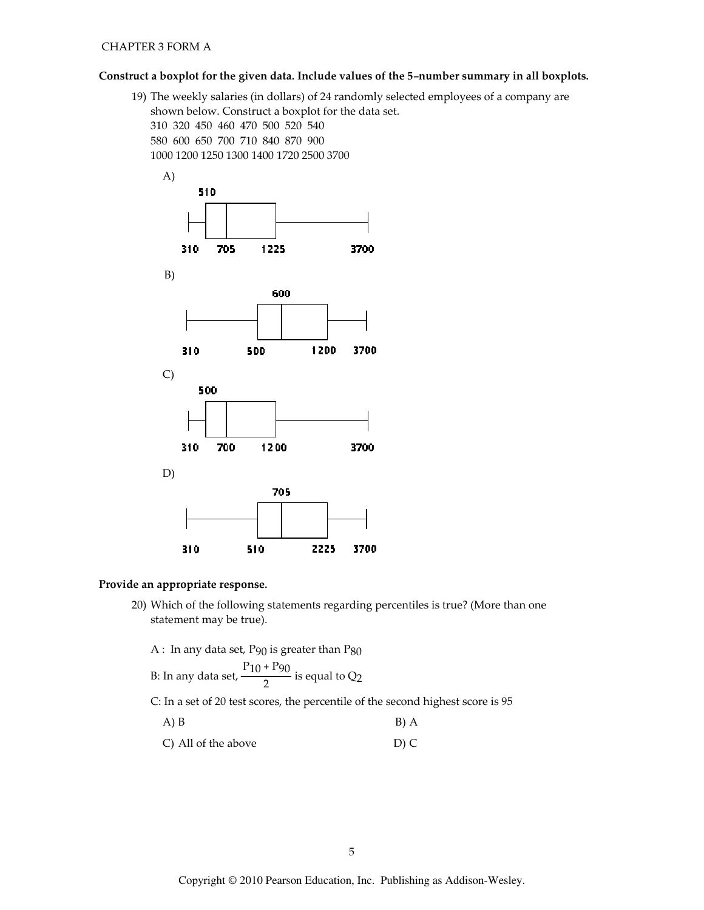## Construct a boxplot for the given data. Include values of the 5-number summary in all boxplots.

19) The weekly salaries (in dollars) of 24 randomly selected employees of a company are shown below. Construct a boxplot for the data set. 310 320 450 460 470 500 520 540 580 600 650 700 710 840 870 900 1000 1200 1250 1300 1400 1720 2500 3700



## Provide an appropriate response.

20) Which of the following statements regarding percentiles is true? (More than one statement may be true).

A : In any data set,  $P_{90}$  is greater than  $P_{80}$ 

B: In any data set, 
$$
\frac{P_{10} + P_{90}}{2}
$$
 is equal to Q<sub>2</sub>

C: In a set of 20 test scores, the percentile of the second highest score is 95

| $A)$ $B$                                                    | $B)$ A                            |
|-------------------------------------------------------------|-----------------------------------|
| $\bigcap_{i=1}^{n}$ $\bigcup_{i=1}^{n}$ $\bigcap_{i=1}^{n}$ | $\mathbf{m} \setminus \mathbf{m}$ |

C) All of the above D) C